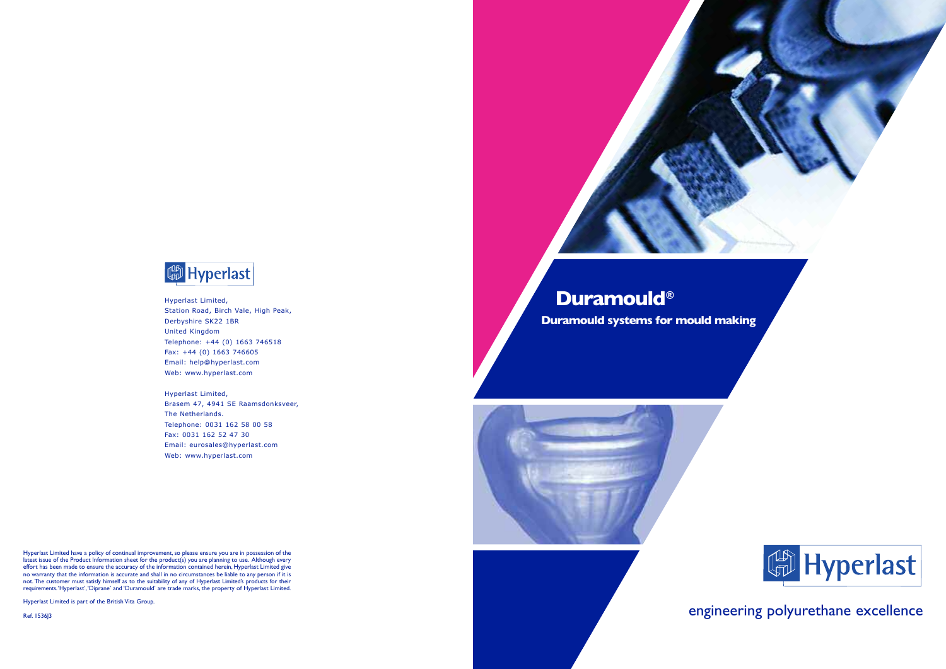# **Duramould® Duramould systems for mould making**



## engineering polyurethane excellence







Hyperlast Limited, Station Road, Birch Vale, High Peak, Derbyshire SK22 1BR United Kingdom Telephone: +44 (0) 1663 746518 Fax: +44 (0) 1663 746605 Email: help@hyperlast.com Web: www.hyperlast.com

Hyperlast Limited, Brasem 47, 4941 SE Raamsdonksveer, The Netherlands. Telephone: 0031 162 58 00 58 Fax: 0031 162 52 47 30 Email: eurosales@hyperlast.com Web: www.hyperlast.com

Hyperlast Limited have a policy of continual improvement, so please ensure you are in possession of the latest issue of the Product Information sheet for the product(s) you are planning to use. Although every effort has been made to ensure the accuracy of the information contained herein, Hyperlast Limited give no warranty that the information is accurate and shall in no circumstances be liable to any person if it is not. The customer must satisfy himself as to the suitability of any of Hyperlast Limited's products for their requirements.'Hyperlast','Diprane' and 'Duramould' are trade marks, the property of Hyperlast Limited.

Hyperlast Limited is part of the British Vita Group.

Ref. 1536J3